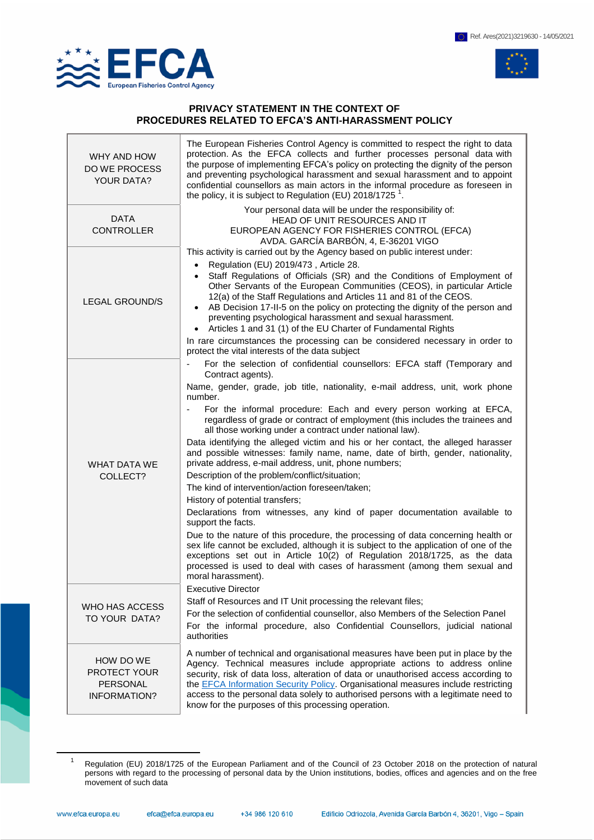

 $\overline{a}$ 



## **PRIVACY STATEMENT IN THE CONTEXT OF PROCEDURES RELATED TO EFCA'S ANTI-HARASSMENT POLICY**

| WHY AND HOW<br>DO WE PROCESS<br><b>YOUR DATA?</b>                   | The European Fisheries Control Agency is committed to respect the right to data<br>protection. As the EFCA collects and further processes personal data with<br>the purpose of implementing EFCA's policy on protecting the dignity of the person<br>and preventing psychological harassment and sexual harassment and to appoint<br>confidential counsellors as main actors in the informal procedure as foreseen in<br>the policy, it is subject to Regulation (EU) $2018/1725$ <sup>1</sup> .                                                                                                                                                                                                                                                                                                                                                                                                                                                                                                                                                                                                                                                                                                                                                 |
|---------------------------------------------------------------------|--------------------------------------------------------------------------------------------------------------------------------------------------------------------------------------------------------------------------------------------------------------------------------------------------------------------------------------------------------------------------------------------------------------------------------------------------------------------------------------------------------------------------------------------------------------------------------------------------------------------------------------------------------------------------------------------------------------------------------------------------------------------------------------------------------------------------------------------------------------------------------------------------------------------------------------------------------------------------------------------------------------------------------------------------------------------------------------------------------------------------------------------------------------------------------------------------------------------------------------------------|
| <b>DATA</b><br><b>CONTROLLER</b>                                    | Your personal data will be under the responsibility of:<br>HEAD OF UNIT RESOURCES AND IT<br>EUROPEAN AGENCY FOR FISHERIES CONTROL (EFCA)<br>AVDA. GARCÍA BARBÓN, 4, E-36201 VIGO                                                                                                                                                                                                                                                                                                                                                                                                                                                                                                                                                                                                                                                                                                                                                                                                                                                                                                                                                                                                                                                                 |
| <b>LEGAL GROUND/S</b>                                               | This activity is carried out by the Agency based on public interest under:<br>Regulation (EU) 2019/473, Article 28.<br>$\bullet$<br>• Staff Regulations of Officials (SR) and the Conditions of Employment of<br>Other Servants of the European Communities (CEOS), in particular Article<br>12(a) of the Staff Regulations and Articles 11 and 81 of the CEOS.<br>• AB Decision 17-II-5 on the policy on protecting the dignity of the person and<br>preventing psychological harassment and sexual harassment.<br>Articles 1 and 31 (1) of the EU Charter of Fundamental Rights<br>In rare circumstances the processing can be considered necessary in order to<br>protect the vital interests of the data subject                                                                                                                                                                                                                                                                                                                                                                                                                                                                                                                             |
| WHAT DATA WE<br>COLLECT?                                            | For the selection of confidential counsellors: EFCA staff (Temporary and<br>Contract agents).<br>Name, gender, grade, job title, nationality, e-mail address, unit, work phone<br>number.<br>For the informal procedure: Each and every person working at EFCA,<br>regardless of grade or contract of employment (this includes the trainees and<br>all those working under a contract under national law).<br>Data identifying the alleged victim and his or her contact, the alleged harasser<br>and possible witnesses: family name, name, date of birth, gender, nationality,<br>private address, e-mail address, unit, phone numbers;<br>Description of the problem/conflict/situation;<br>The kind of intervention/action foreseen/taken;<br>History of potential transfers;<br>Declarations from witnesses, any kind of paper documentation available to<br>support the facts.<br>Due to the nature of this procedure, the processing of data concerning health or<br>sex life cannot be excluded, although it is subject to the application of one of the<br>exceptions set out in Article 10(2) of Regulation 2018/1725, as the data<br>processed is used to deal with cases of harassment (among them sexual and<br>moral harassment). |
| WHO HAS ACCESS<br>TO YOUR DATA?                                     | <b>Executive Director</b><br>Staff of Resources and IT Unit processing the relevant files;<br>For the selection of confidential counsellor, also Members of the Selection Panel<br>For the informal procedure, also Confidential Counsellors, judicial national<br>authorities                                                                                                                                                                                                                                                                                                                                                                                                                                                                                                                                                                                                                                                                                                                                                                                                                                                                                                                                                                   |
| HOW DO WE<br>PROTECT YOUR<br><b>PERSONAL</b><br><b>INFORMATION?</b> | A number of technical and organisational measures have been put in place by the<br>Agency. Technical measures include appropriate actions to address online<br>security, risk of data loss, alteration of data or unauthorised access according to<br>the <b>EFCA</b> Information Security Policy. Organisational measures include restricting<br>access to the personal data solely to authorised persons with a legitimate need to<br>know for the purposes of this processing operation.                                                                                                                                                                                                                                                                                                                                                                                                                                                                                                                                                                                                                                                                                                                                                      |

<sup>1</sup> Regulation (EU) 2018/1725 of the European Parliament and of the Council of 23 October 2018 on the protection of natural persons with regard to the processing of personal data by the Union institutions, bodies, offices and agencies and on the free movement of such data